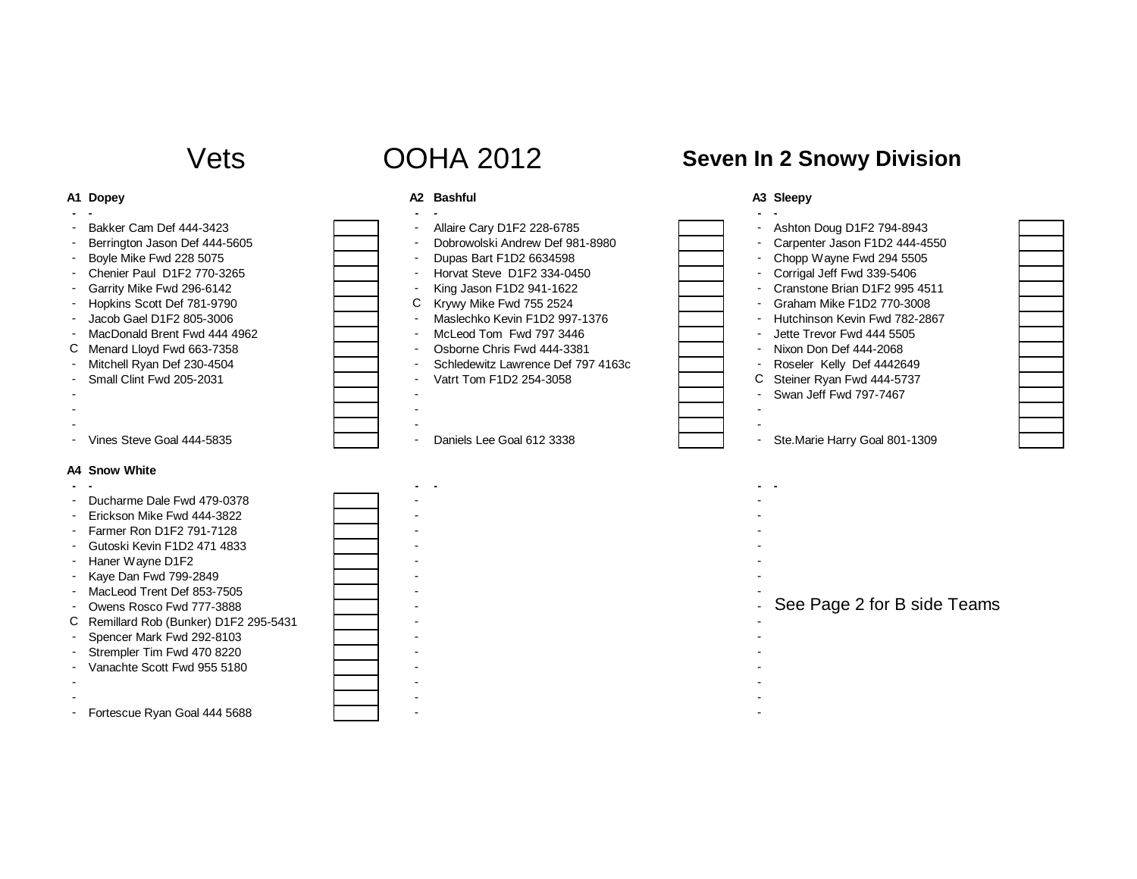# Vets OOHA 2012

### **A1**

|   | Bakker Cam Def 444-3423              |   | Allaire Cary D1F2 228-6785         |  |
|---|--------------------------------------|---|------------------------------------|--|
|   | Berrington Jason Def 444-5605        |   | Dobrowolski Andrew Def 981-8980    |  |
|   | Boyle Mike Fwd 228 5075              |   | Dupas Bart F1D2 6634598            |  |
|   | Chenier Paul D1F2 770-3265           |   | Horvat Steve D1F2 334-0450         |  |
|   | Garrity Mike Fwd 296-6142            |   | King Jason F1D2 941-1622           |  |
|   | Hopkins Scott Def 781-9790           | C | Krywy Mike Fwd 755 2524            |  |
|   | Jacob Gael D1F2 805-3006             |   | Maslechko Kevin F1D2 997-1376      |  |
|   | MacDonald Brent Fwd 444 4962         |   | McLeod Tom Fwd 797 3446            |  |
| С | Menard Lloyd Fwd 663-7358            |   | Osborne Chris Fwd 444-3381         |  |
|   | Mitchell Ryan Def 230-4504           |   | Schledewitz Lawrence Def 797 4163c |  |
|   | Small Clint Fwd 205-2031             |   | Vatrt Tom F1D2 254-3058            |  |
|   |                                      |   |                                    |  |
|   |                                      |   |                                    |  |
|   |                                      |   |                                    |  |
|   | Vines Steve Goal 444-5835            |   | Daniels Lee Goal 612 3338          |  |
|   |                                      |   |                                    |  |
|   |                                      |   |                                    |  |
|   | A4 Snow White                        |   |                                    |  |
|   |                                      |   |                                    |  |
|   | Ducharme Dale Fwd 479-0378           |   |                                    |  |
|   | Erickson Mike Fwd 444-3822           |   |                                    |  |
|   | Farmer Ron D1F2 791-7128             |   |                                    |  |
|   | Gutoski Kevin F1D2 471 4833          |   |                                    |  |
|   | Haner Wayne D1F2                     |   |                                    |  |
|   | Kaye Dan Fwd 799-2849                |   |                                    |  |
|   | MacLeod Trent Def 853-7505           |   |                                    |  |
|   | Owens Rosco Fwd 777-3888             |   |                                    |  |
| С | Remillard Rob (Bunker) D1F2 295-5431 |   |                                    |  |
|   | Spencer Mark Fwd 292-8103            |   |                                    |  |
|   | Strempler Tim Fwd 470 8220           |   |                                    |  |
|   | Vanachte Scott Fwd 955 5180          |   |                                    |  |
|   |                                      |   |                                    |  |
|   |                                      |   |                                    |  |

## **Seven In 2 Snowy Division**

### **A2 A3 Dopey Bashful Sleepy**



- 
- 
- 
- -
	-

See Page 2 for B side Teams

- 
- 
- 
- 
- 
-